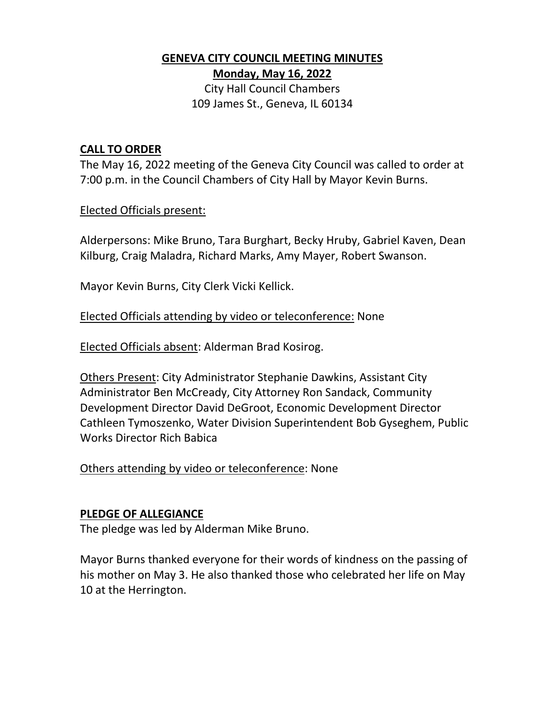# **GENEVA CITY COUNCIL MEETING MINUTES Monday, May 16, 2022**

City Hall Council Chambers 109 James St., Geneva, IL 60134

### **CALL TO ORDER**

The May 16, 2022 meeting of the Geneva City Council was called to order at 7:00 p.m. in the Council Chambers of City Hall by Mayor Kevin Burns.

#### Elected Officials present:

Alderpersons: Mike Bruno, Tara Burghart, Becky Hruby, Gabriel Kaven, Dean Kilburg, Craig Maladra, Richard Marks, Amy Mayer, Robert Swanson.

Mayor Kevin Burns, City Clerk Vicki Kellick.

### Elected Officials attending by video or teleconference: None

Elected Officials absent: Alderman Brad Kosirog.

Others Present: City Administrator Stephanie Dawkins, Assistant City Administrator Ben McCready, City Attorney Ron Sandack, Community Development Director David DeGroot, Economic Development Director Cathleen Tymoszenko, Water Division Superintendent Bob Gyseghem, Public Works Director Rich Babica

Others attending by video or teleconference: None

#### **PLEDGE OF ALLEGIANCE**

The pledge was led by Alderman Mike Bruno.

Mayor Burns thanked everyone for their words of kindness on the passing of his mother on May 3. He also thanked those who celebrated her life on May 10 at the Herrington.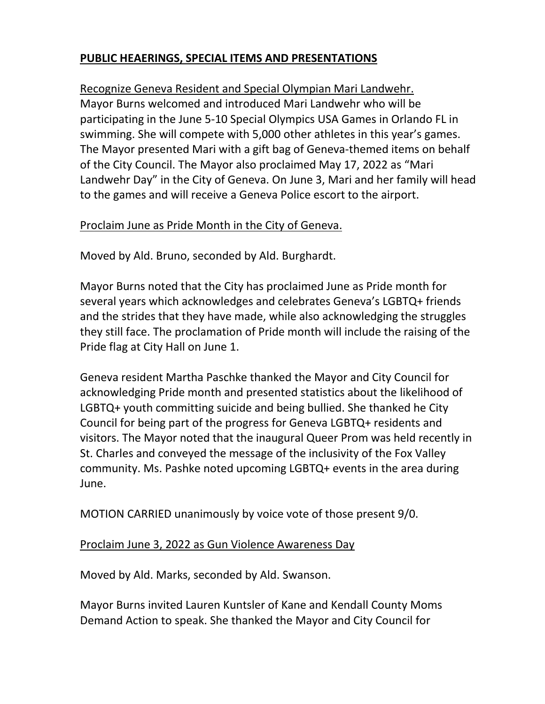## **PUBLIC HEAERINGS, SPECIAL ITEMS AND PRESENTATIONS**

Recognize Geneva Resident and Special Olympian Mari Landwehr.

Mayor Burns welcomed and introduced Mari Landwehr who will be participating in the June 5-10 Special Olympics USA Games in Orlando FL in swimming. She will compete with 5,000 other athletes in this year's games. The Mayor presented Mari with a gift bag of Geneva-themed items on behalf of the City Council. The Mayor also proclaimed May 17, 2022 as "Mari Landwehr Day" in the City of Geneva. On June 3, Mari and her family will head to the games and will receive a Geneva Police escort to the airport.

#### Proclaim June as Pride Month in the City of Geneva.

Moved by Ald. Bruno, seconded by Ald. Burghardt.

Mayor Burns noted that the City has proclaimed June as Pride month for several years which acknowledges and celebrates Geneva's LGBTQ+ friends and the strides that they have made, while also acknowledging the struggles they still face. The proclamation of Pride month will include the raising of the Pride flag at City Hall on June 1.

Geneva resident Martha Paschke thanked the Mayor and City Council for acknowledging Pride month and presented statistics about the likelihood of LGBTQ+ youth committing suicide and being bullied. She thanked he City Council for being part of the progress for Geneva LGBTQ+ residents and visitors. The Mayor noted that the inaugural Queer Prom was held recently in St. Charles and conveyed the message of the inclusivity of the Fox Valley community. Ms. Pashke noted upcoming LGBTQ+ events in the area during June.

MOTION CARRIED unanimously by voice vote of those present 9/0.

#### Proclaim June 3, 2022 as Gun Violence Awareness Day

Moved by Ald. Marks, seconded by Ald. Swanson.

Mayor Burns invited Lauren Kuntsler of Kane and Kendall County Moms Demand Action to speak. She thanked the Mayor and City Council for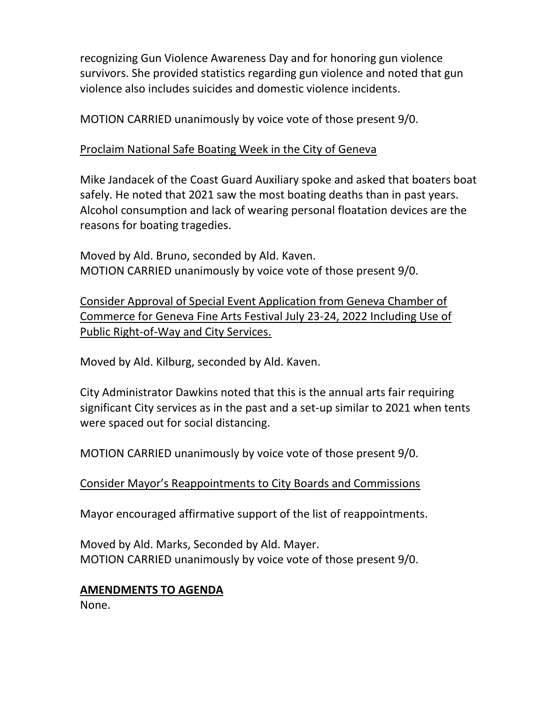recognizing Gun Violence Awareness Day and for honoring gun violence survivors. She provided statistics regarding gun violence and noted that gun violence also includes suicides and domestic violence incidents.

MOTION CARRIED unanimously by voice vote of those present 9/0.

# Proclaim National Safe Boating Week in the City of Geneva

Mike Jandacek of the Coast Guard Auxiliary spoke and asked that boaters boat safely. He noted that 2021 saw the most boating deaths than in past years. Alcohol consumption and lack of wearing personal floatation devices are the reasons for boating tragedies.

Moved by Ald. Bruno, seconded by Ald. Kaven. MOTION CARRIED unanimously by voice vote of those present 9/0.

Consider Approval of Special Event Application from Geneva Chamber of Commerce for Geneva Fine Arts Festival July 23-24, 2022 Including Use of Public Right-of-Way and City Services.

Moved by Ald. Kilburg, seconded by Ald. Kaven.

City Administrator Dawkins noted that this is the annual arts fair requiring significant City services as in the past and a set-up similar to 2021 when tents were spaced out for social distancing.

MOTION CARRIED unanimously by voice vote of those present 9/0.

Consider Mayor's Reappointments to City Boards and Commissions

Mayor encouraged affirmative support of the list of reappointments.

Moved by Ald. Marks, Seconded by Ald. Mayer. MOTION CARRIED unanimously by voice vote of those present 9/0.

# **AMENDMENTS TO AGENDA**

None.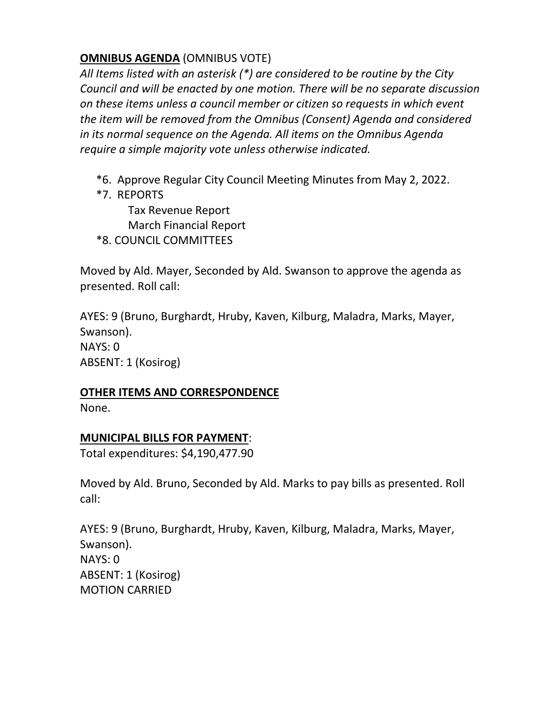## **OMNIBUS AGENDA** (OMNIBUS VOTE)

*All Items listed with an asterisk (\*) are considered to be routine by the City Council and will be enacted by one motion. There will be no separate discussion on these items unless a council member or citizen so requests in which event the item will be removed from the Omnibus (Consent) Agenda and considered in its normal sequence on the Agenda. All items on the Omnibus Agenda require a simple majority vote unless otherwise indicated.*

- \*6. Approve Regular City Council Meeting Minutes from May 2, 2022.
- \*7. REPORTS

Tax Revenue Report March Financial Report \*8. COUNCIL COMMITTEES

Moved by Ald. Mayer, Seconded by Ald. Swanson to approve the agenda as presented. Roll call:

AYES: 9 (Bruno, Burghardt, Hruby, Kaven, Kilburg, Maladra, Marks, Mayer, Swanson). NAYS: 0 ABSENT: 1 (Kosirog)

#### **OTHER ITEMS AND CORRESPONDENCE**

None.

#### **MUNICIPAL BILLS FOR PAYMENT**:

Total expenditures: \$4,190,477.90

Moved by Ald. Bruno, Seconded by Ald. Marks to pay bills as presented. Roll call:

AYES: 9 (Bruno, Burghardt, Hruby, Kaven, Kilburg, Maladra, Marks, Mayer, Swanson). NAYS: 0 ABSENT: 1 (Kosirog) MOTION CARRIED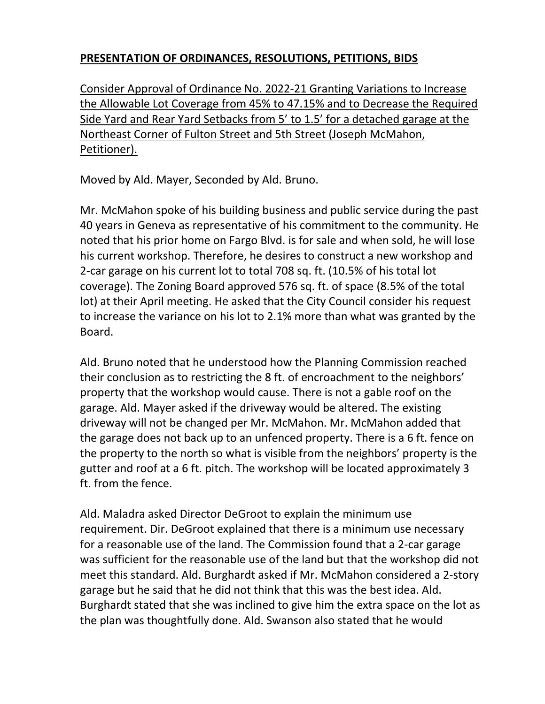# **PRESENTATION OF ORDINANCES, RESOLUTIONS, PETITIONS, BIDS**

Consider Approval of Ordinance No. 2022-21 Granting Variations to Increase the Allowable Lot Coverage from 45% to 47.15% and to Decrease the Required Side Yard and Rear Yard Setbacks from 5' to 1.5' for a detached garage at the Northeast Corner of Fulton Street and 5th Street (Joseph McMahon, Petitioner).

Moved by Ald. Mayer, Seconded by Ald. Bruno.

Mr. McMahon spoke of his building business and public service during the past 40 years in Geneva as representative of his commitment to the community. He noted that his prior home on Fargo Blvd. is for sale and when sold, he will lose his current workshop. Therefore, he desires to construct a new workshop and 2-car garage on his current lot to total 708 sq. ft. (10.5% of his total lot coverage). The Zoning Board approved 576 sq. ft. of space (8.5% of the total lot) at their April meeting. He asked that the City Council consider his request to increase the variance on his lot to 2.1% more than what was granted by the Board.

Ald. Bruno noted that he understood how the Planning Commission reached their conclusion as to restricting the 8 ft. of encroachment to the neighbors' property that the workshop would cause. There is not a gable roof on the garage. Ald. Mayer asked if the driveway would be altered. The existing driveway will not be changed per Mr. McMahon. Mr. McMahon added that the garage does not back up to an unfenced property. There is a 6 ft. fence on the property to the north so what is visible from the neighbors' property is the gutter and roof at a 6 ft. pitch. The workshop will be located approximately 3 ft. from the fence.

Ald. Maladra asked Director DeGroot to explain the minimum use requirement. Dir. DeGroot explained that there is a minimum use necessary for a reasonable use of the land. The Commission found that a 2-car garage was sufficient for the reasonable use of the land but that the workshop did not meet this standard. Ald. Burghardt asked if Mr. McMahon considered a 2-story garage but he said that he did not think that this was the best idea. Ald. Burghardt stated that she was inclined to give him the extra space on the lot as the plan was thoughtfully done. Ald. Swanson also stated that he would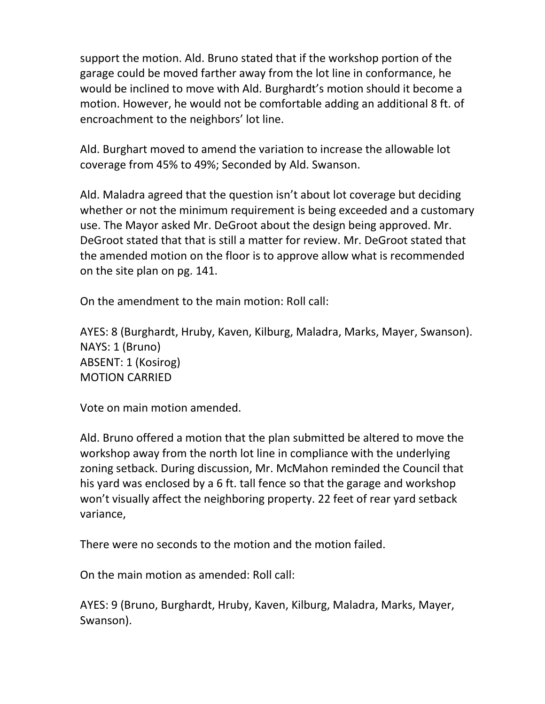support the motion. Ald. Bruno stated that if the workshop portion of the garage could be moved farther away from the lot line in conformance, he would be inclined to move with Ald. Burghardt's motion should it become a motion. However, he would not be comfortable adding an additional 8 ft. of encroachment to the neighbors' lot line.

Ald. Burghart moved to amend the variation to increase the allowable lot coverage from 45% to 49%; Seconded by Ald. Swanson.

Ald. Maladra agreed that the question isn't about lot coverage but deciding whether or not the minimum requirement is being exceeded and a customary use. The Mayor asked Mr. DeGroot about the design being approved. Mr. DeGroot stated that that is still a matter for review. Mr. DeGroot stated that the amended motion on the floor is to approve allow what is recommended on the site plan on pg. 141.

On the amendment to the main motion: Roll call:

AYES: 8 (Burghardt, Hruby, Kaven, Kilburg, Maladra, Marks, Mayer, Swanson). NAYS: 1 (Bruno) ABSENT: 1 (Kosirog) MOTION CARRIED

Vote on main motion amended.

Ald. Bruno offered a motion that the plan submitted be altered to move the workshop away from the north lot line in compliance with the underlying zoning setback. During discussion, Mr. McMahon reminded the Council that his yard was enclosed by a 6 ft. tall fence so that the garage and workshop won't visually affect the neighboring property. 22 feet of rear yard setback variance,

There were no seconds to the motion and the motion failed.

On the main motion as amended: Roll call:

AYES: 9 (Bruno, Burghardt, Hruby, Kaven, Kilburg, Maladra, Marks, Mayer, Swanson).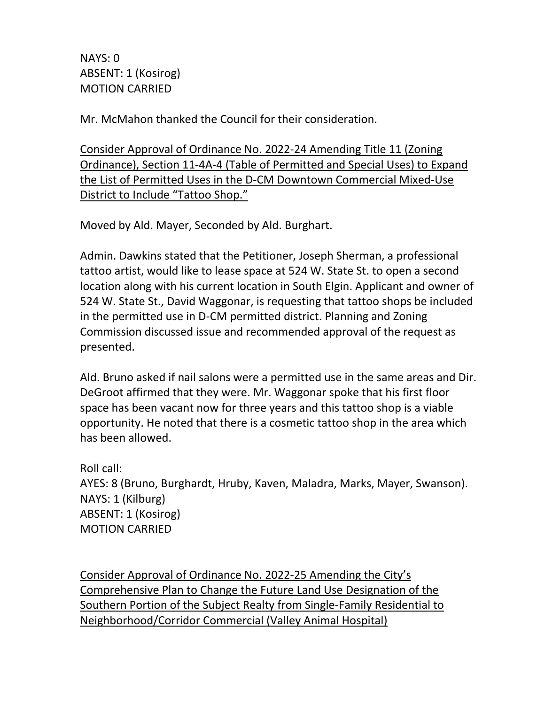NAYS: 0 ABSENT: 1 (Kosirog) MOTION CARRIED

Mr. McMahon thanked the Council for their consideration.

Consider Approval of Ordinance No. 2022-24 Amending Title 11 (Zoning Ordinance), Section 11-4A-4 (Table of Permitted and Special Uses) to Expand the List of Permitted Uses in the D-CM Downtown Commercial Mixed-Use District to Include "Tattoo Shop."

Moved by Ald. Mayer, Seconded by Ald. Burghart.

Admin. Dawkins stated that the Petitioner, Joseph Sherman, a professional tattoo artist, would like to lease space at 524 W. State St. to open a second location along with his current location in South Elgin. Applicant and owner of 524 W. State St., David Waggonar, is requesting that tattoo shops be included in the permitted use in D-CM permitted district. Planning and Zoning Commission discussed issue and recommended approval of the request as presented.

Ald. Bruno asked if nail salons were a permitted use in the same areas and Dir. DeGroot affirmed that they were. Mr. Waggonar spoke that his first floor space has been vacant now for three years and this tattoo shop is a viable opportunity. He noted that there is a cosmetic tattoo shop in the area which has been allowed.

Roll call: AYES: 8 (Bruno, Burghardt, Hruby, Kaven, Maladra, Marks, Mayer, Swanson). NAYS: 1 (Kilburg) ABSENT: 1 (Kosirog) MOTION CARRIED

Consider Approval of Ordinance No. 2022-25 Amending the City's Comprehensive Plan to Change the Future Land Use Designation of the Southern Portion of the Subject Realty from Single-Family Residential to Neighborhood/Corridor Commercial (Valley Animal Hospital)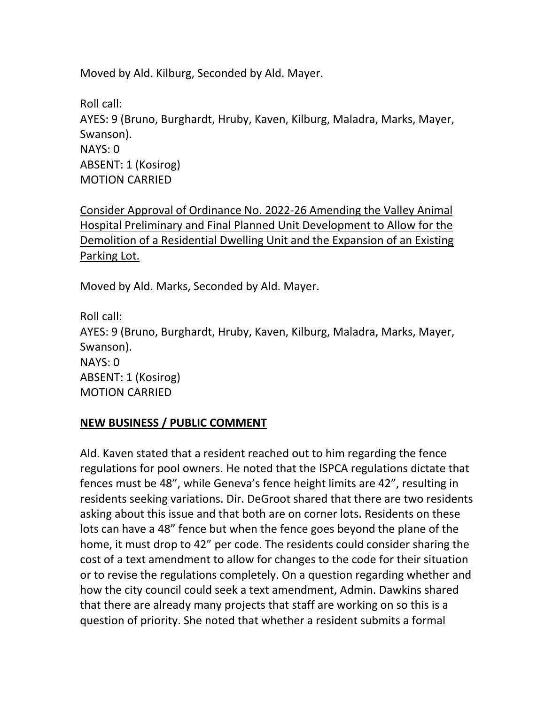Moved by Ald. Kilburg, Seconded by Ald. Mayer.

Roll call: AYES: 9 (Bruno, Burghardt, Hruby, Kaven, Kilburg, Maladra, Marks, Mayer, Swanson). NAYS: 0 ABSENT: 1 (Kosirog) MOTION CARRIED

Consider Approval of Ordinance No. 2022-26 Amending the Valley Animal Hospital Preliminary and Final Planned Unit Development to Allow for the Demolition of a Residential Dwelling Unit and the Expansion of an Existing Parking Lot.

Moved by Ald. Marks, Seconded by Ald. Mayer.

Roll call: AYES: 9 (Bruno, Burghardt, Hruby, Kaven, Kilburg, Maladra, Marks, Mayer, Swanson). NAYS: 0 ABSENT: 1 (Kosirog) MOTION CARRIED

#### **NEW BUSINESS / PUBLIC COMMENT**

Ald. Kaven stated that a resident reached out to him regarding the fence regulations for pool owners. He noted that the ISPCA regulations dictate that fences must be 48", while Geneva's fence height limits are 42", resulting in residents seeking variations. Dir. DeGroot shared that there are two residents asking about this issue and that both are on corner lots. Residents on these lots can have a 48" fence but when the fence goes beyond the plane of the home, it must drop to 42" per code. The residents could consider sharing the cost of a text amendment to allow for changes to the code for their situation or to revise the regulations completely. On a question regarding whether and how the city council could seek a text amendment, Admin. Dawkins shared that there are already many projects that staff are working on so this is a question of priority. She noted that whether a resident submits a formal